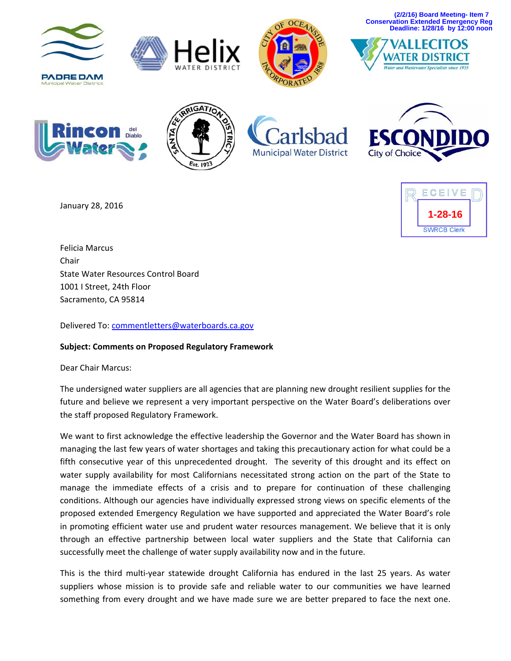**(2/2/16) Board Meeting- Item 7 Conservation Extended Emergency Reg Deadline: 1/28/16 by 12:00 noon**

















January 28, 2016



Felicia Marcus Chair State Water Resources Control Board 1001 I Street, 24th Floor Sacramento, CA 95814

Delivered To: commentletters@waterboards.ca.gov

## **Subject: Comments on Proposed Regulatory Framework**

Dear Chair Marcus:

The undersigned water suppliers are all agencies that are planning new drought resilient supplies for the future and believe we represent a very important perspective on the Water Board's deliberations over the staff proposed Regulatory Framework.

We want to first acknowledge the effective leadership the Governor and the Water Board has shown in managing the last few years of water shortages and taking this precautionary action for what could be a fifth consecutive year of this unprecedented drought. The severity of this drought and its effect on water supply availability for most Californians necessitated strong action on the part of the State to manage the immediate effects of a crisis and to prepare for continuation of these challenging conditions. Although our agencies have individually expressed strong views on specific elements of the proposed extended Emergency Regulation we have supported and appreciated the Water Board's role in promoting efficient water use and prudent water resources management. We believe that it is only through an effective partnership between local water suppliers and the State that California can successfully meet the challenge of water supply availability now and in the future.

This is the third multi-year statewide drought California has endured in the last 25 years. As water suppliers whose mission is to provide safe and reliable water to our communities we have learned something from every drought and we have made sure we are better prepared to face the next one.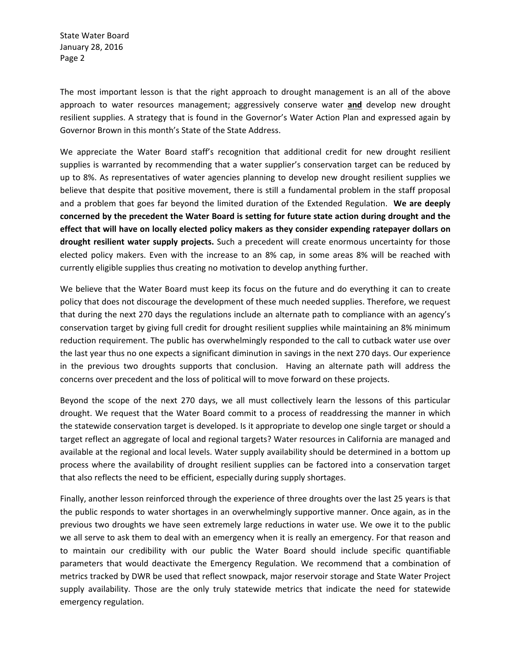State Water Board January 28, 2016 Page 2

The most important lesson is that the right approach to drought management is an all of the above approach to water resources management; aggressively conserve water **and** develop new drought resilient supplies. A strategy that is found in the Governor's Water Action Plan and expressed again by Governor Brown in this month's State of the State Address.

We appreciate the Water Board staff's recognition that additional credit for new drought resilient supplies is warranted by recommending that a water supplier's conservation target can be reduced by up to 8%. As representatives of water agencies planning to develop new drought resilient supplies we believe that despite that positive movement, there is still a fundamental problem in the staff proposal and a problem that goes far beyond the limited duration of the Extended Regulation. **We are deeply concerned by the precedent the Water Board is setting for future state action during drought and the effect that will have on locally elected policy makers as they consider expending ratepayer dollars on drought resilient water supply projects.** Such a precedent will create enormous uncertainty for those elected policy makers. Even with the increase to an 8% cap, in some areas 8% will be reached with currently eligible supplies thus creating no motivation to develop anything further.

We believe that the Water Board must keep its focus on the future and do everything it can to create policy that does not discourage the development of these much needed supplies. Therefore, we request that during the next 270 days the regulations include an alternate path to compliance with an agency's conservation target by giving full credit for drought resilient supplies while maintaining an 8% minimum reduction requirement. The public has overwhelmingly responded to the call to cutback water use over the last year thus no one expects a significant diminution in savings in the next 270 days. Our experience in the previous two droughts supports that conclusion. Having an alternate path will address the concerns over precedent and the loss of political will to move forward on these projects.

Beyond the scope of the next 270 days, we all must collectively learn the lessons of this particular drought. We request that the Water Board commit to a process of readdressing the manner in which the statewide conservation target is developed. Is it appropriate to develop one single target or should a target reflect an aggregate of local and regional targets? Water resources in California are managed and available at the regional and local levels. Water supply availability should be determined in a bottom up process where the availability of drought resilient supplies can be factored into a conservation target that also reflects the need to be efficient, especially during supply shortages.

Finally, another lesson reinforced through the experience of three droughts over the last 25 years is that the public responds to water shortages in an overwhelmingly supportive manner. Once again, as in the previous two droughts we have seen extremely large reductions in water use. We owe it to the public we all serve to ask them to deal with an emergency when it is really an emergency. For that reason and to maintain our credibility with our public the Water Board should include specific quantifiable parameters that would deactivate the Emergency Regulation. We recommend that a combination of metrics tracked by DWR be used that reflect snowpack, major reservoir storage and State Water Project supply availability. Those are the only truly statewide metrics that indicate the need for statewide emergency regulation.